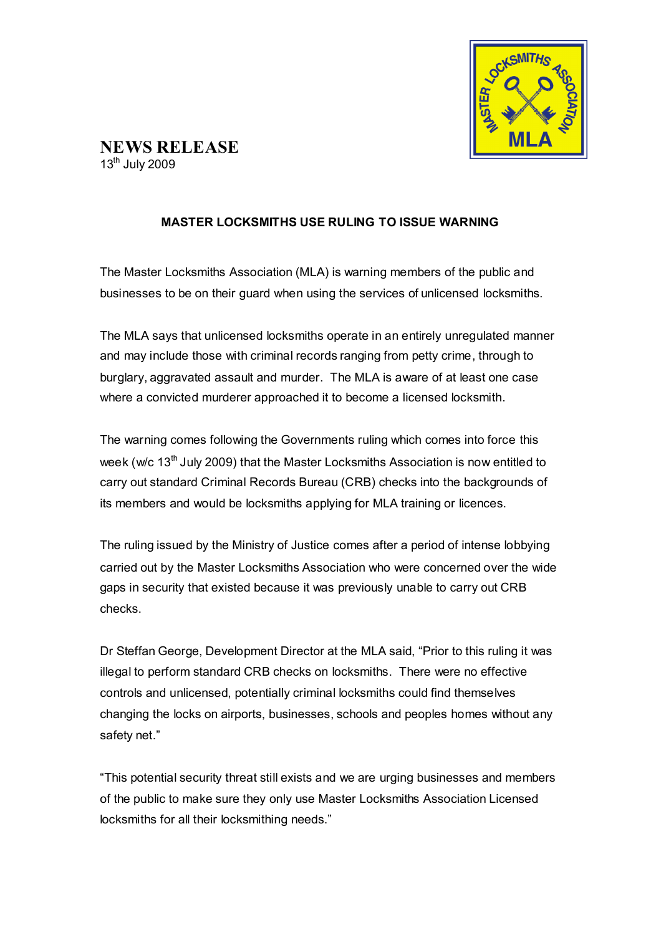

## **MASTER LOCKSMITHS USE RULING TO ISSUE WARNING**

The Master Locksmiths Association (MLA) is warning members of the public and businesses to be on their guard when using the services of unlicensed locksmiths.

The MLA says that unlicensed locksmiths operate in an entirely unregulated manner and may include those with criminal records ranging from petty crime, through to burglary, aggravated assault and murder. The MLA is aware of at least one case where a convicted murderer approached it to become a licensed locksmith.

The warning comes following the Governments ruling which comes into force this week (w/c 13<sup>th</sup> July 2009) that the Master Locksmiths Association is now entitled to carry out standard Criminal Records Bureau (CRB) checks into the backgrounds of its members and would be locksmiths applying for MLA training or licences.

The ruling issued by the Ministry of Justice comes after a period of intense lobbying carried out by the Master Locksmiths Association who were concerned over the wide gaps in security that existed because it was previously unable to carry out CRB checks.

Dr Steffan George, Development Director at the MLA said, "Prior to this ruling it was illegal to perform standard CRB checks on locksmiths. There were no effective controls and unlicensed, potentially criminal locksmiths could find themselves changing the locks on airports, businesses, schools and peoples homes without any safety net."

"This potential security threat still exists and we are urging businesses and members of the public to make sure they only use Master Locksmiths Association Licensed locksmiths for all their locksmithing needs."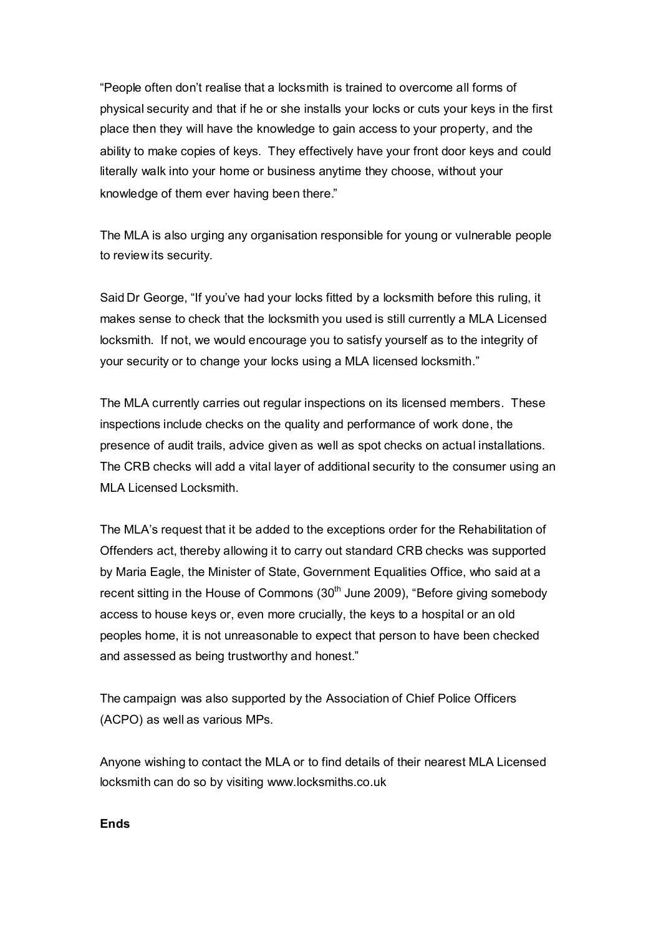"People often don't realise that a locksmith is trained to overcome all forms of physical security and that if he or she installs your locks or cuts your keys in the first place then they will have the knowledge to gain access to your property, and the ability to make copies of keys. They effectively have your front door keys and could literally walk into your home or business anytime they choose, without your knowledge of them ever having been there."

The MLA is also urging any organisation responsible for young or vulnerable people to reviewits security.

Said Dr George, "If you've had your locks fitted by a locksmith before this ruling, it makes sense to check that the locksmith you used is still currently a MLA Licensed locksmith. If not, we would encourage you to satisfy yourself as to the integrity of your security or to change your locks using a MLA licensed locksmith."

The MLA currently carries out regular inspections on its licensed members. These inspections include checks on the quality and performance of work done, the presence of audit trails, advice given as well as spot checks on actual installations. The CRB checks will add a vital layer of additional security to the consumer using an MLA Licensed Locksmith.

The MLA's request that it be added to the exceptions order for the Rehabilitation of Offenders act, thereby allowing it to carry out standard CRB checks was supported by Maria Eagle, the Minister of State, Government Equalities Office, who said at a recent sitting in the House of Commons  $(30<sup>th</sup>$  June 2009), "Before giving somebody access to house keys or, even more crucially, the keys to a hospital or an old peoples home, it is not unreasonable to expect that person to have been checked and assessed as being trustworthy and honest."

The campaign was also supported by the Association of Chief Police Officers (ACPO) as well as various MPs.

Anyone wishing to contact the MLA or to find details of their nearest MLA Licensed locksmith can do so by visiting www.locksmiths.co.uk

**Ends**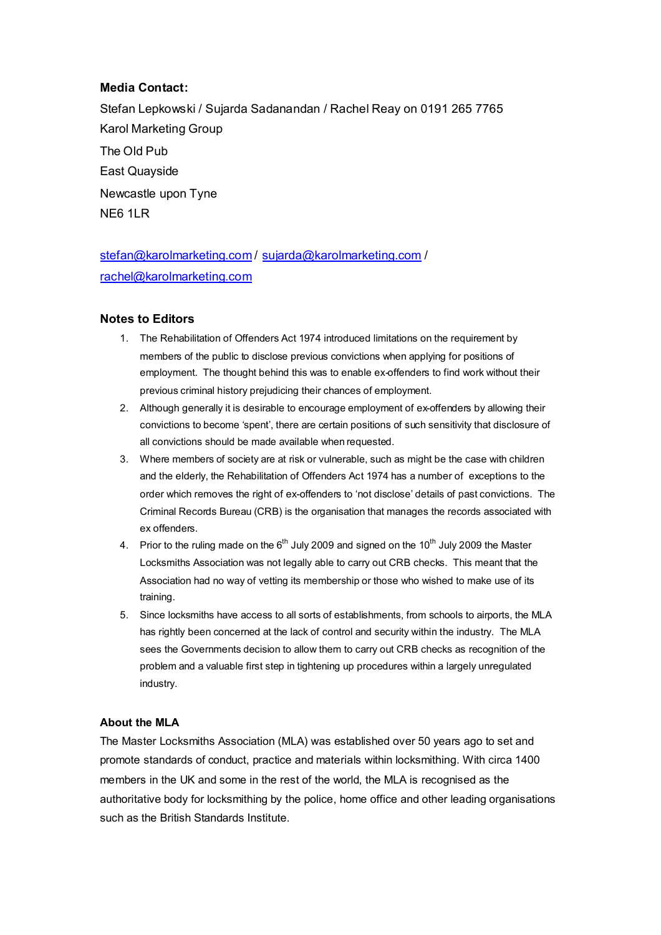## **Media Contact:**

Stefan Lepkowski / Sujarda Sadanandan / Rachel Reay on 0191 265 7765 Karol Marketing Group The Old Pub East Quayside Newcastle upon Tyne NE6 1LR

stefan@karolmarketing.com / sujarda@karolmarketing.com / rachel@karolmarketing.com

## **Notes to Editors**

- 1. The Rehabilitation of Offenders Act 1974 introduced limitations on the requirement by members of the public to disclose previous convictions when applying for positions of employment. The thought behind this was to enable ex-offenders to find work without their previous criminal history prejudicing their chances of employment.
- 2. Although generally it is desirable to encourage employment of ex-offenders by allowing their convictions to become 'spent', there are certain positions of such sensitivity that disclosure of all convictions should be made available when requested.
- 3. Where members of society are at risk or vulnerable, such as might be the case with children and the elderly, the Rehabilitation of Offenders Act 1974 has a number of exceptions to the order which removes the right of ex-offenders to 'not disclose' details of past convictions. The Criminal Records Bureau (CRB) is the organisation that manages the records associated with ex offenders.
- 4. Prior to the ruling made on the  $6<sup>th</sup>$  July 2009 and signed on the 10<sup>th</sup> July 2009 the Master Locksmiths Association was not legally able to carry out CRB checks. This meant that the Association had no way of vetting its membership or those who wished to make use of its training.
- 5. Since locksmiths have access to all sorts of establishments, from schools to airports, the MLA has rightly been concerned at the lack of control and security within the industry. The MLA sees the Governments decision to allow them to carry out CRB checks as recognition of the problem and a valuable first step in tightening up procedures within a largely unregulated industry.

## **About the MLA**

The Master Locksmiths Association (MLA) was established over 50 years ago to set and promote standards of conduct, practice and materials within locksmithing. With circa 1400 members in the UK and some in the rest of the world, the MLA is recognised as the authoritative body for locksmithing by the police, home office and other leading organisations such as the British Standards Institute.